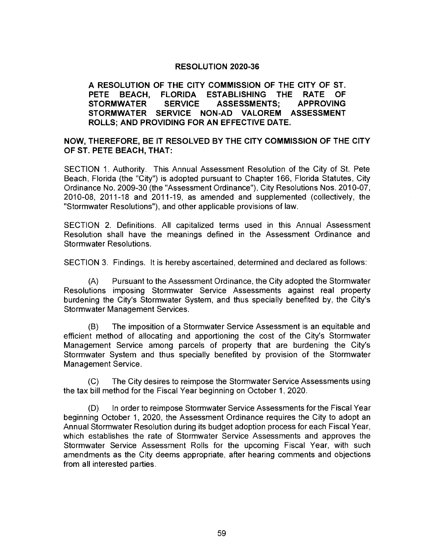## RESOLUTION 2020-36

## A RESOLUTION OF THE CITY COMMISSION OF THE CITY OF ST. PETE BEACH, FLORIDA ESTABLISHING THE RATE OF STORMWATER SERVICE ASSESSMENTS; APPROVING STORMWATER SERVICE NON -AD VALOREM ASSESSMENT ROLLS; AND PROVIDING FOR AN EFFECTIVE DATE.

## NOW, THEREFORE, BE IT RESOLVED BY THE CITY COMMISSION OF THE CITY OF ST. PETE BEACH, THAT:

SECTION 1. Authority. This Annual Assessment Resolution of the City of St. Pete Beach, Florida (the "City") is adopted pursuant to Chapter 166, Florida Statutes, City Ordinance No. 2009-30 (the "Assessment Ordinance"), City Resolutions Nos. 2010-07, 2010-08, 2011-18 and 2011-19, as amended and supplemented (collectively, the Stormwater Resolutions"), and other applicable provisions of law.

SECTION 2. Definitions. All capitalized terms used in this Annual Assessment Resolution shall have the meanings defined in the Assessment Ordinance and Stormwater Resolutions.

SECTION 3. Findings. It is hereby ascertained, determined and declared as follows

A) Pursuant to the Assessment Ordinance, the City adopted the Stormwater Resolutions imposing Stormwater Service Assessments against real property burdening the City's Stormwater System, and thus specially benefited by, the City's Stormwater Management Services.

B) The imposition of a Stormwater Service Assessment is an equitable and efficient method of allocating and apportioning the cost of the City's Stormwater Management Service among parcels of property that are burdening the City's Stormwater System and thus specially benefited by provision of the Stormwater Management Service.

C) The City desires to reimpose the Stormwater Service Assessments using the tax bill method for the Fiscal Year beginning on October 1, 2020.

D) In order to reimpose Stormwater Service Assessments for the Fiscal Year beginning October 1, 2020, the Assessment Ordinance requires the City to adopt an Annual Stormwater Resolution during its budget adoption process for each Fiscal Year, which establishes the rate of Stormwater Service Assessments and approves the Stormwater Service Assessment Rolls for the upcoming Fiscal Year, with such amendments as the City deems appropriate, after hearing comments and objections from all interested parties.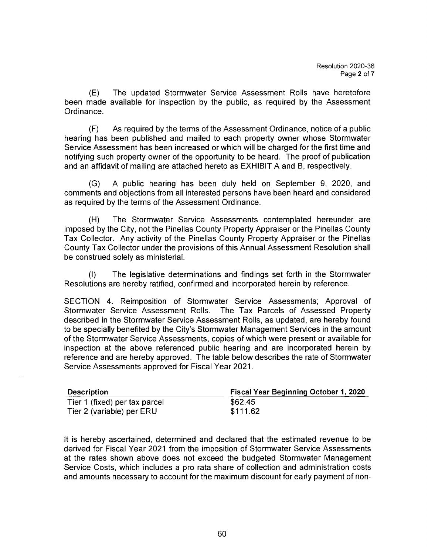E) The updated Stormwater Service Assessment Rolls have heretofore been made available for inspection by the public, as required by the Assessment Ordinance.

F) As required by the terms of the Assessment Ordinance, notice of a public hearing has been published and mailed to each property owner whose Stormwater Service Assessment has been increased or which will be charged for the first time and notifying such property owner of the opportunity to be heard. The proof of publication and an affidavit of mailing are attached hereto as EXHIBIT A and B, respectively.

(G) A public hearing has been duly held on September 9, 2020, and comments and objections from all interested persons have been heard and considered as required by the terms of the Assessment Ordinance.

H) The Stormwater Service Assessments contemplated hereunder are imposed by the City, not the Pinellas County Property Appraiser or the Pinellas County Tax Collector. Any activity of the Pinellas County Property Appraiser or the Pinellas County Tax Collector under the provisions of this Annual Assessment Resolution shall be construed solely as ministerial.

1) The legislative determinations and findings set forth in the Stormwater Resolutions are hereby ratified, confirmed and incorporated herein by reference.

SECTION 4. Reimposition of Stormwater Service Assessments; Approval of Stormwater Service Assessment Rolls. The Tax Parcels of Assessed Property described in the Stormwater Service Assessment Rolls, as updated, are hereby found to be specially benefited by the City's Stormwater Management Services in the amount of the Stormwater Service Assessments, copies of which were present or available for inspection at the above referenced public hearing and are incorporated herein by reference and are hereby approved. The table below describes the rate of Stormwater Service Assessments approved for Fiscal Year 2021.

| <b>Description</b>            | <b>Fiscal Year Beginning October 1, 2020</b> |
|-------------------------------|----------------------------------------------|
| Tier 1 (fixed) per tax parcel | \$62.45                                      |
| Tier 2 (variable) per ERU     | \$111.62                                     |

It is hereby ascertained, determined and declared that the estimated revenue to be derived for Fiscal Year 2021 from the imposition of Stormwater Service Assessments at the rates shown above does not exceed the budgeted Stormwater Management Service Costs, which includes a pro rata share of collection and administration costs and amounts necessary to account for the maximum discount for early payment of non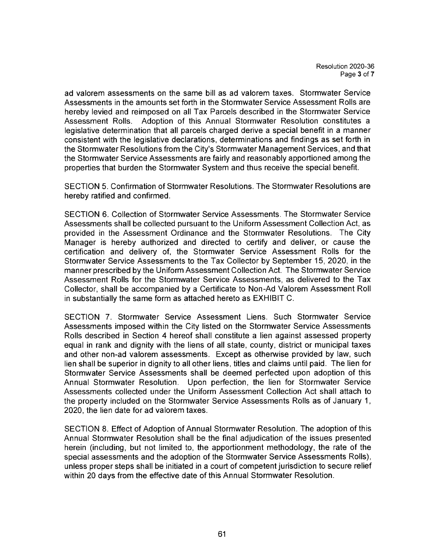ad valorem assessments on the same bill as ad valorem taxes. Stormwater Service Assessments in the amounts set forth in the Stormwater Service Assessment Rolls are hereby levied and reimposed on all Tax Parcels described in the Stormwater Service Assessment Rolls. Adoption of this Annual Stormwater Resolution constitutes a legislative determination that all parcels charged derive a special benefit in a manner consistent with the legislative declarations, determinations and findings as set forth in the Stormwater Resolutions from the City's Stormwater Management Services, and that the Stormwater Service Assessments are fairly and reasonably apportioned among the properties that burden the Stormwater System and thus receive the special benefit.

SECTION 5. Confirmation of Stormwater Resolutions. The Stormwater Resolutions are hereby ratified and confirmed.

SECTION 6. Collection of Stormwater Service Assessments. The Stormwater Service Assessments shall be collected pursuant to the Uniform Assessment Collection Act, as provided in the Assessment Ordinance and the Stormwater Resolutions. The City Manager is hereby authorized and directed to certify and deliver, or cause the certification and delivery of, the Stormwater Service Assessment Rolls for the Stormwater Service Assessments to the Tax Collector by September 15, 2020, in the manner prescribed by the Uniform Assessment Collection Act. The Stormwater Service Assessment Rolls for the Stormwater Service Assessments, as delivered to the Tax Collector, shall be accompanied by a Certificate to Non -Ad Valorem Assessment Roll in substantially the same form as attached hereto as EXHIBIT C.

SECTION 7. Stormwater Service Assessment Liens. Such Stormwater Service Assessments imposed within the City listed on the Stormwater Service Assessments Rolls described in Section 4 hereof shall constitute a lien against assessed property equal in rank and dignity with the liens of all state, county, district or municipal taxes and other non -ad valorem assessments. Except as otherwise provided by law, such lien shall be superior in dignity to all other liens, titles and claims until paid. The lien for Stormwater Service Assessments shall be deemed perfected upon adoption of this Annual Stormwater Resolution. Upon perfection, the lien for Stormwater Service Assessments collected under the Uniform Assessment Collection Act shall attach to the property included on the Stormwater Service Assessments Rolls as of January 1, 2020, the lien date for ad valorem taxes.

SECTION 8. Effect of Adoption of Annual Stormwater Resolution. The adoption of this Annual Stormwater Resolution shall be the final adjudication of the issues presented herein (including, but not limited to, the apportionment methodology, the rate of the special assessments and the adoption of the Stormwater Service Assessments Rolls), unless proper steps shall be initiated in a court of competent jurisdiction to secure relief within 20 days from the effective date of this Annual Stormwater Resolution.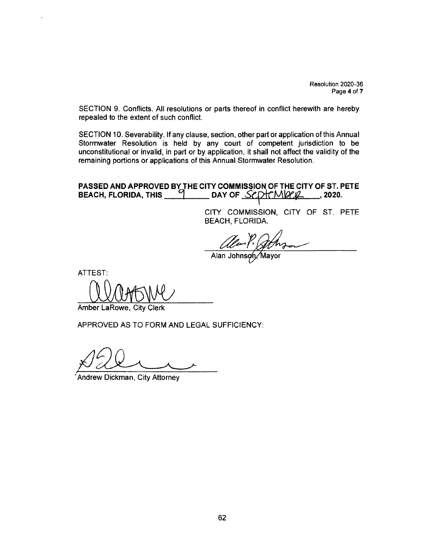Resolution 2020-36 Page 4 of 7

SECTION 9. Conflicts. All resolutions or parts thereof in conflict herewith are hereby repealed to the extent of such conflict.

SECTION 10. Severability. If any clause, section, other part or application of this Annual Stormwater Resolution is held by any court of competent jurisdiction to be unconstitutional or invalid, in part or by application, it shall not affect the validity of the remaining portions or applications of this Annual Stormwater Resolution.

## PASSED AND APPROVED BY THE CITY COMMISSION OF THE CITY OF ST. PETE BEACH, FLORIDA, THIS \_\_\_\_\_\_\_\_\_\_\_\_ DAY OF \_S*CDT("MVICL\_\_\_\_\_*, 2020.

CITY COMMISSION, CITY OF ST. PETE BEACH, FLORIDA.

ON, PONDA.

Alan Johnson Mayor

ATTEST: assine

Amber LaRowe, City Clerk

APPROVED AS TO FORM AND LEGAL SUFFICIENCY:

Andrew Dickman, City Attorney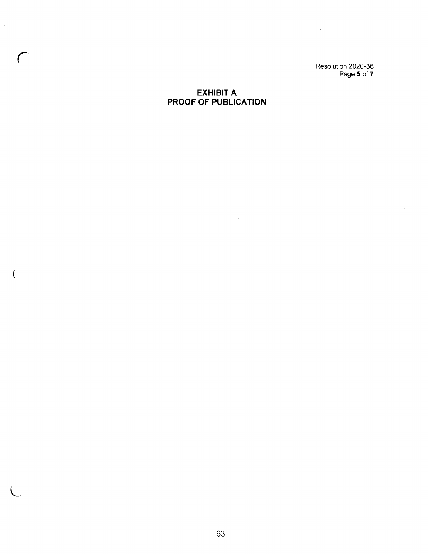Resolution 2020- 36 Page 5 of 7

 $\sim$ 

## EXHIBIT A PROOF OF PUBLICATION

 $\hat{\mathcal{L}}$ 

 $\hat{\mathcal{A}}$ 

 $\overline{\mathcal{L}}$ 

 $\sim 10^6$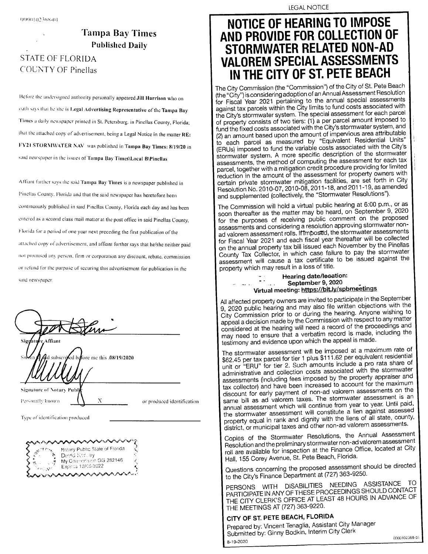# Tampa Bay Times Published Daily

## STATE OF FLORIDA COUNTY OF Pinellas

Before the undersigned authority personally appeared Jill Harrison who on oath lays that 1101shc is Legal Advertising Representative of the Tampa Bay Times a daily newspaper printed in St. Petersburg, in Pinellas County, Florida; that the attached copy of advertisement, being a Legal Notice in the matter RE: FY21 STORMWATER NAV was published in Tampa Bay Times: 8/19/20 in said newspaper in the issues of Tampa Bay Times\ Local B\ Pinellas

Affiant further says the said Tampa Bay Times is a newspaper published in Pinellas County, Florida and that the said newspaper has heretofore been continuously published in said Pinellas County, Florida each day and has been entered as a second class mail matter at the post office in said Pinellas County, Florida for a period of one year next preceding the first publication of the attached copy of advertisement, and affiant further says that he/she neither paid not prunused any person, firm or corporation any discount, rebate, commission or refund for the purpose of securing this advertisement for publication in the said newspaper,

| Signature Affiant<br>subscried before me this .08/19/2020<br>Swy                             |                            |
|----------------------------------------------------------------------------------------------|----------------------------|
| <b>Signature of Notary Publ讹</b><br>Х<br>Personally known<br>Type of identification produced | or produced identification |

Notary Public State of Fonda David Kerney My Commission GG 282146 ্ব Expires 12/05/2022

**LEGAL NOTICE** 

# NOTICE OF HEARING TO IMPOSE AND PROVIDE FOR COLLECTION OF STORMWATER RELATED NON-AD VALOREM SPECIAL ASSESSMENTS IN THE CITY OF ST. PETE BEACH

ININ THE CITYCITY OF ST. PETER BEACHBEACHBEACH The "City") is considering adoption of an Annual Assessment Resolution<br>(the "City") is considering adoption of an Annual Assessment Resolution for Fiscal Year 2021 pertaining to the annual special assessments against tax parcels within the City limits to fund costs associated with the City's stormwater system. The special assessment for each parcel of property consists of two tiers: (1) a per parcel amount imposed to fund the fixed costs associated with the City's stormwater system, and fund the fixed costs constant the fixed costs constant fund the City's storm with the City's storm and city of the City' storm and city of the City' storm with the City' storm with the City' storm with the City's storm and 2)2) anan amount amount based based upon upon the the amount amount ofof impervious impervious area area attributable attributable (ERUs) imposed to fund the variable costs associated with the City's<br>stormwater system. A more specific description of the stormwater assessments, the method of computing the assessment for each tax parcel, together with a mitigation credit procedure providing for limited reduction in the amount of the assessment for property owners with<br>certain private stormwater mitigation facilities, are set forth in City reduction No. 2010-07, 2010-08, 2011-18, and 2011-19, as amonded and supplemented (collectively, the "Stormwater Resolutions").

The Commission will hold a virtual public hearing at 6:00 p.m., or as soon thereafter as the matter may be heard, on September 9, 2020 for the purposes of receiving public comment on the proposed assessments and considering a resolution approving stormwater nonad valorem assessment rolls. If Imposed, the stormwater assessments for Fiscal Year 2021 and each fiscal year thereafter will be collected for Fiscal Year's 2021<br>Fiscal Year 2021 and and the annual property tax bill issued each November by the Pinellas<br>County Tax Collector, in which case failure to pay the stormwater onon thethe annual annual property property tax tax billbill issued issued each each November November byby thethe Pinellas Pinellas Social Tax Collector, Collector, Collector, initiated failure toto paypay the stormwaters in the stormwaters o property which may result in a loss of title.

#### Hearing date/lecation: II.<br>Tima September 9, 2020 september//bit.lv/spbl

All affected property owners are invited to participate in the September All all all all affects property property properties properties with the September September 2020 public hearing and may also file written objections with the 9, 2020, 2020, 2020, 2020, 2020, 2020, 2020, 2020, 2020, 2020, 2020, 2020, 2020, 2020, 2020, 2020, 2020, 2020, 2020, 2020, 2020, 2020, 2020, 2020, 2020, 2020, 2020, 2020, 2020, 2020, 2020, 2020, 2020, 2020, 2020, 2020, 202 City City Commission Commission prior prior toto oror during during thethe hearing.hearing. Anyone Anyone wishing wishing toto appeal are decision madematic matter commission commission Commission Commission Commission Commission Commission Commission Commission Commission Commission Commission Commission Commission Commission Commission Commissio considered at a record at the metal theorem and proceeding the may need to ensure that a verbatim record is made, including the testimony and evidence upon which the appeal is made.

The stormwater assessment will be imposed at a maximum rate of \$62.45 per tax parcel for tier 1 plus \$111.62 per equivalent residential For the parameter is the plus s plus  $\frac{1}{2}$  per equivalent residential.<br>unit or "ERU" for tier 2. Such amounts include a pro rata share of unit unit or "or " ERU"ERU" for for tiertier 2.2. Such Such amounts amounts include include aa propro rata rata share share ofof assessments (including fees imposed by the property appraiser and tax collector) and have been increased to account for the maximum as collector) and have been increased to account for the maximum tices interior park increasing to the have been been increased to the maximum maximum maximum maximum maximum m same bill as ad valorem taxes. The stormwater assessment is an annual assessment which will continue from year to year. Until paid, and a new assessment will constitute a lien against assessed the stormwater assessment will constitute a lien against assessed the stormwater storm will constitute a lient assessment assessment with the liens of all state, county, property property equal initial initial initial initial state, county, county, county, county, county, county,

Copies of the Stormwater Resolutions, the Annual Assessment Copies of the Stormula Annual Annual Annual Annual Annual Annual Assessment roll are available for inspection at the Finance Office, located at City Hall, 155 Corey Avenue, St. Pete Beach, Florida.

Questions concerning the proposed assessment should be directed to the City's Finance Department at (727) 363-9250.

PERSONS WITH DISABILITIES NEEDING ASSISTANCE TO PARTICIPATE IN ANY OF THESE PROCEEDINGS SHOULD CONTACT THE CITY CLERK'S OFFICE AT LEAST 48 HOURS IN ADVANCE OF THE MEETINGS AT (727) 363-9220.

### CITY OF ST. PETE BEACH, FLORIDA

Prepared by: Vincent Tenaglia, Assistant City Manager Submitted by: Ginny Bodkin, Interim City Clerk 8-19-2020 OOOGIO2368- OOOGIO2368- 01 01 B-B- 19-19- 2020 2020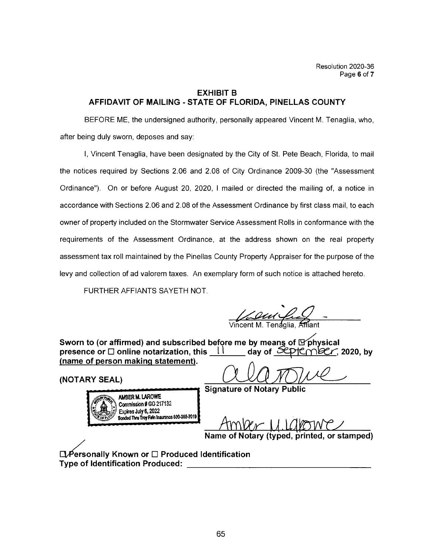## EXHIBIT B AFFIDAVIT OF MAILING - STATE OF FLORIDA, PINELLAS COUNTY

BEFORE ME, the undersigned authority, personally appeared Vincent M. Tenaglia, who, after being duly sworn, deposes and say:

I, Vincent Tenaglia, have been designated by the City of St. Pete Beach, Florida, to mail the notices required by Sections 2.06 and 2.08 of City Ordinance 2009-30 (the "Assessment Ordinance"). On or before August 20, 2020, 1 mailed or directed the mailing of, a notice in accordance with Sections 2. 06 and 2. 08 of the Assessment Ordinance by first class mail, to each owner of property included on the Stormwater Service Assessment Rolls in conformance with the requirements of the Assessment Ordinance, at the address shown on the real property assessment tax roll maintained by the Pinellas County Property Appraiser for the purpose of the levy and collection of ad valorem taxes. An exemplary form of such notice is attached hereto.

FURTHER AFFIANTS SAYETH NOT.

*Vincent M. Tenaglia*, Affian

Sworn to (or affirmed) and subscribed before me by means of  $\mathbb F$ physical<br>presence or  $\Box$  online notarization, this  $\Box$   $\Box$  day of  $\mathcal L$ PtCmbCr, 2020, by presence or  $\Box$  online notarization, this  $\frac{\Box \Box}{\Box}$ name of person makinq statement).

AMBER M. LAROWE Commission # GG 217132 Expkes July 6, 2022 Bonded Thru Troy Fain Insurance 800-385-7019

 $\frac{1}{\text{Mott}}$  of person making statement).<br>NOTARY SEAL)

Signature of Notary Public

Amper U. Lakowe

Name of Notary ( typed, printed, or stamped)

 $\Box$  Personally Known or  $\Box$  Produced Identification Type of Identification Produced: